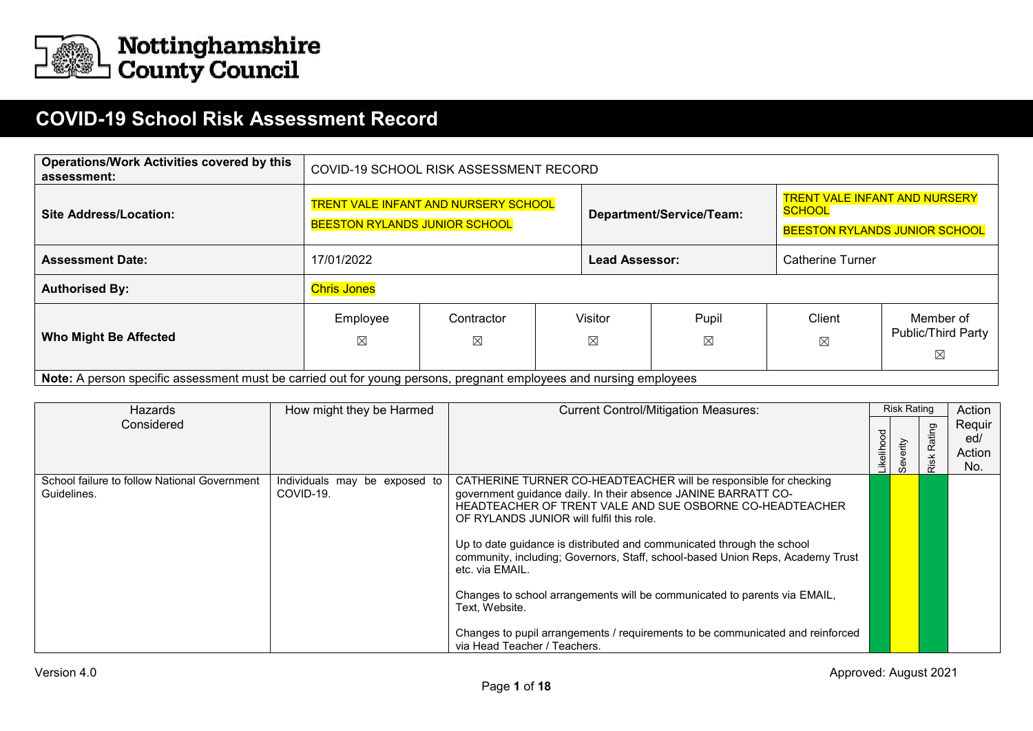

## **COVID-19 School Risk Assessment Record**

| <b>Operations/Work Activities covered by this</b><br>assessment:                                                   |                                                                                                                           | COVID-19 SCHOOL RISK ASSESSMENT RECORD |  |                        |                      |                                                                       |                                      |  |  |  |
|--------------------------------------------------------------------------------------------------------------------|---------------------------------------------------------------------------------------------------------------------------|----------------------------------------|--|------------------------|----------------------|-----------------------------------------------------------------------|--------------------------------------|--|--|--|
| <b>Site Address/Location:</b>                                                                                      | <b>TRENT VALE INFANT AND NURSERY SCHOOL</b><br>SCHOOL<br>Department/Service/Team:<br><b>BEESTON RYLANDS JUNIOR SCHOOL</b> |                                        |  |                        |                      | <b>TRENT VALE INFANT AND NURSERY</b><br>BEESTON RYLANDS JUNIOR SCHOOL |                                      |  |  |  |
| <b>Assessment Date:</b>                                                                                            | 17/01/2022                                                                                                                |                                        |  | <b>Lead Assessor:</b>  |                      | Catherine Turner                                                      |                                      |  |  |  |
| <b>Authorised By:</b>                                                                                              | <b>Chris Jones</b>                                                                                                        |                                        |  |                        |                      |                                                                       |                                      |  |  |  |
| <b>Who Might Be Affected</b>                                                                                       | Employee<br>⊠                                                                                                             | Contractor<br>$\boxtimes$              |  | Visitor<br>$\boxtimes$ | Pupil<br>$\boxtimes$ | Client<br>$\boxtimes$                                                 | Member of<br>Public/Third Party<br>⊠ |  |  |  |
| Note: A person specific assessment must be carried out for young persons, pregnant employees and nursing employees |                                                                                                                           |                                        |  |                        |                      |                                                                       |                                      |  |  |  |

| Hazards                                                     | How might they be Harmed                   | <b>Current Control/Mitigation Measures:</b>                                                                                                                                                                                                                                                                                                                                                                                                                                                                                                                                                                                                |           | <b>Risk Rating</b> |                                  | Action                         |
|-------------------------------------------------------------|--------------------------------------------|--------------------------------------------------------------------------------------------------------------------------------------------------------------------------------------------------------------------------------------------------------------------------------------------------------------------------------------------------------------------------------------------------------------------------------------------------------------------------------------------------------------------------------------------------------------------------------------------------------------------------------------------|-----------|--------------------|----------------------------------|--------------------------------|
| Considered                                                  |                                            |                                                                                                                                                                                                                                                                                                                                                                                                                                                                                                                                                                                                                                            | ikelihood | Severity           | ating<br>$\mathbf{\times}$<br>Ω. | Reguir<br>ed/<br>Action<br>No. |
| School failure to follow National Government<br>Guidelines. | Individuals may be exposed to<br>COVID-19. | CATHERINE TURNER CO-HEADTEACHER will be responsible for checking<br>government guidance daily. In their absence JANINE BARRATT CO-<br>HEADTEACHER OF TRENT VALE AND SUE OSBORNE CO-HEADTEACHER<br>OF RYLANDS JUNIOR will fulfil this role.<br>Up to date guidance is distributed and communicated through the school<br>community, including; Governors, Staff, school-based Union Reps, Academy Trust<br>etc. via EMAIL.<br>Changes to school arrangements will be communicated to parents via EMAIL,<br>Text, Website.<br>Changes to pupil arrangements / requirements to be communicated and reinforced<br>via Head Teacher / Teachers. |           |                    |                                  |                                |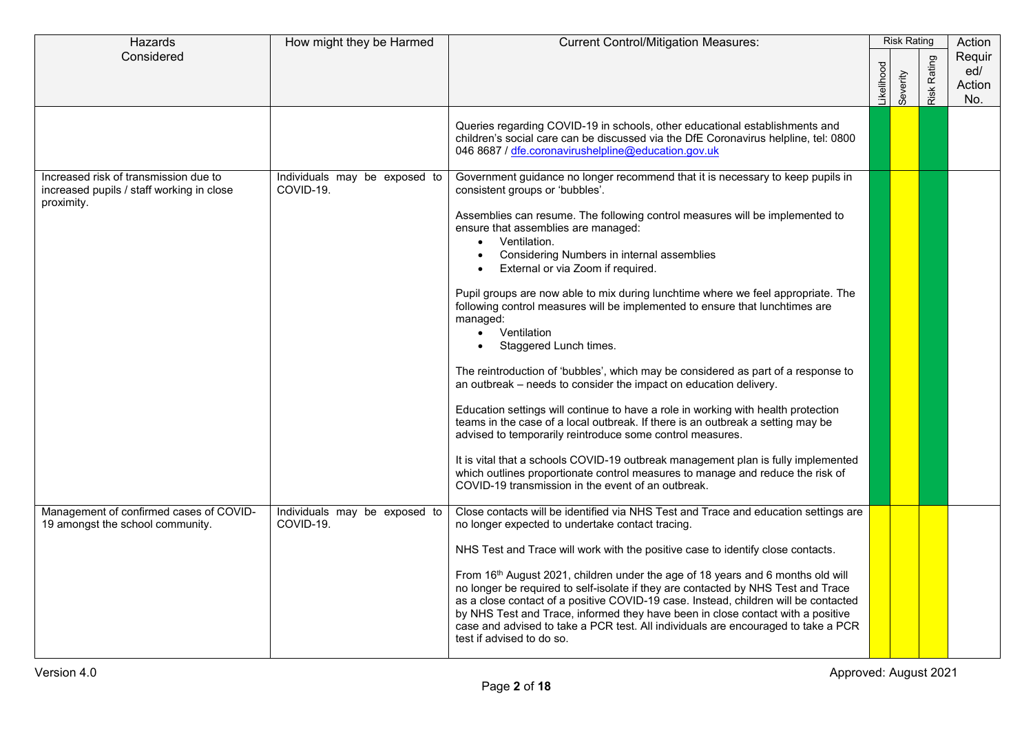| Hazards                                                                                          | How might they be Harmed                   | <b>Current Control/Mitigation Measures:</b>                                                                                                                                                                                                                                                                                                                                                                                                                                                                                                                                                                                                                                                                                                                                             |            | <b>Risk Rating</b> |                                      | Action                         |
|--------------------------------------------------------------------------------------------------|--------------------------------------------|-----------------------------------------------------------------------------------------------------------------------------------------------------------------------------------------------------------------------------------------------------------------------------------------------------------------------------------------------------------------------------------------------------------------------------------------------------------------------------------------------------------------------------------------------------------------------------------------------------------------------------------------------------------------------------------------------------------------------------------------------------------------------------------------|------------|--------------------|--------------------------------------|--------------------------------|
| Considered                                                                                       |                                            |                                                                                                                                                                                                                                                                                                                                                                                                                                                                                                                                                                                                                                                                                                                                                                                         | .ikelihood | Severity           | Rating<br>$\overline{\mathsf{risk}}$ | Requir<br>ed/<br>Action<br>No. |
|                                                                                                  |                                            | Queries regarding COVID-19 in schools, other educational establishments and<br>children's social care can be discussed via the DfE Coronavirus helpline, tel: 0800<br>046 8687 / dfe.coronavirushelpline@education.gov.uk                                                                                                                                                                                                                                                                                                                                                                                                                                                                                                                                                               |            |                    |                                      |                                |
| Increased risk of transmission due to<br>increased pupils / staff working in close<br>proximity. | Individuals may be exposed to<br>COVID-19. | Government guidance no longer recommend that it is necessary to keep pupils in<br>consistent groups or 'bubbles'.<br>Assemblies can resume. The following control measures will be implemented to<br>ensure that assemblies are managed:<br>Ventilation.<br>$\bullet$<br>Considering Numbers in internal assemblies<br>$\bullet$<br>External or via Zoom if required.<br>Pupil groups are now able to mix during lunchtime where we feel appropriate. The                                                                                                                                                                                                                                                                                                                               |            |                    |                                      |                                |
|                                                                                                  |                                            | following control measures will be implemented to ensure that lunchtimes are<br>managed:<br>Ventilation<br>$\bullet$<br>Staggered Lunch times.<br>$\bullet$<br>The reintroduction of 'bubbles', which may be considered as part of a response to<br>an outbreak - needs to consider the impact on education delivery.<br>Education settings will continue to have a role in working with health protection<br>teams in the case of a local outbreak. If there is an outbreak a setting may be<br>advised to temporarily reintroduce some control measures.<br>It is vital that a schools COVID-19 outbreak management plan is fully implemented<br>which outlines proportionate control measures to manage and reduce the risk of<br>COVID-19 transmission in the event of an outbreak. |            |                    |                                      |                                |
| Management of confirmed cases of COVID-<br>19 amongst the school community.                      | Individuals may be exposed to<br>COVID-19. | Close contacts will be identified via NHS Test and Trace and education settings are<br>no longer expected to undertake contact tracing.<br>NHS Test and Trace will work with the positive case to identify close contacts.<br>From 16 <sup>th</sup> August 2021, children under the age of 18 years and 6 months old will<br>no longer be required to self-isolate if they are contacted by NHS Test and Trace<br>as a close contact of a positive COVID-19 case. Instead, children will be contacted<br>by NHS Test and Trace, informed they have been in close contact with a positive<br>case and advised to take a PCR test. All individuals are encouraged to take a PCR<br>test if advised to do so.                                                                              |            |                    |                                      |                                |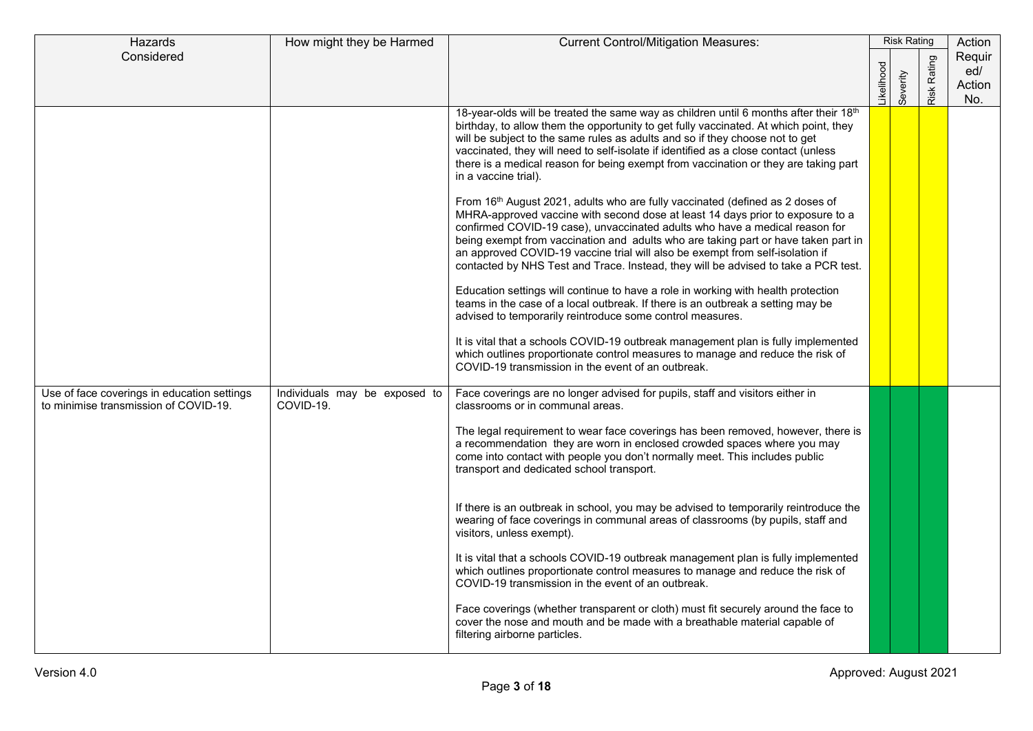| Hazards                                                                              | How might they be Harmed                   | <b>Current Control/Mitigation Measures:</b>                                                                                                                                                                                                                                                                                                                                                                                                                                                                 |            | <b>Risk Rating</b> |                | Action                         |
|--------------------------------------------------------------------------------------|--------------------------------------------|-------------------------------------------------------------------------------------------------------------------------------------------------------------------------------------------------------------------------------------------------------------------------------------------------------------------------------------------------------------------------------------------------------------------------------------------------------------------------------------------------------------|------------|--------------------|----------------|--------------------------------|
| Considered                                                                           |                                            |                                                                                                                                                                                                                                                                                                                                                                                                                                                                                                             | ikelihood. | Severity           | Rating<br>Risk | Requir<br>ed/<br>Action<br>No. |
|                                                                                      |                                            | 18-year-olds will be treated the same way as children until 6 months after their 18th<br>birthday, to allow them the opportunity to get fully vaccinated. At which point, they<br>will be subject to the same rules as adults and so if they choose not to get<br>vaccinated, they will need to self-isolate if identified as a close contact (unless<br>there is a medical reason for being exempt from vaccination or they are taking part<br>in a vaccine trial).                                        |            |                    |                |                                |
|                                                                                      |                                            | From 16th August 2021, adults who are fully vaccinated (defined as 2 doses of<br>MHRA-approved vaccine with second dose at least 14 days prior to exposure to a<br>confirmed COVID-19 case), unvaccinated adults who have a medical reason for<br>being exempt from vaccination and adults who are taking part or have taken part in<br>an approved COVID-19 vaccine trial will also be exempt from self-isolation if<br>contacted by NHS Test and Trace. Instead, they will be advised to take a PCR test. |            |                    |                |                                |
|                                                                                      |                                            | Education settings will continue to have a role in working with health protection<br>teams in the case of a local outbreak. If there is an outbreak a setting may be<br>advised to temporarily reintroduce some control measures.                                                                                                                                                                                                                                                                           |            |                    |                |                                |
|                                                                                      |                                            | It is vital that a schools COVID-19 outbreak management plan is fully implemented<br>which outlines proportionate control measures to manage and reduce the risk of<br>COVID-19 transmission in the event of an outbreak.                                                                                                                                                                                                                                                                                   |            |                    |                |                                |
| Use of face coverings in education settings<br>to minimise transmission of COVID-19. | Individuals may be exposed to<br>COVID-19. | Face coverings are no longer advised for pupils, staff and visitors either in<br>classrooms or in communal areas.<br>The legal requirement to wear face coverings has been removed, however, there is                                                                                                                                                                                                                                                                                                       |            |                    |                |                                |
|                                                                                      |                                            | a recommendation they are worn in enclosed crowded spaces where you may<br>come into contact with people you don't normally meet. This includes public<br>transport and dedicated school transport.                                                                                                                                                                                                                                                                                                         |            |                    |                |                                |
|                                                                                      |                                            | If there is an outbreak in school, you may be advised to temporarily reintroduce the<br>wearing of face coverings in communal areas of classrooms (by pupils, staff and<br>visitors, unless exempt).                                                                                                                                                                                                                                                                                                        |            |                    |                |                                |
|                                                                                      |                                            | It is vital that a schools COVID-19 outbreak management plan is fully implemented<br>which outlines proportionate control measures to manage and reduce the risk of<br>COVID-19 transmission in the event of an outbreak.                                                                                                                                                                                                                                                                                   |            |                    |                |                                |
|                                                                                      |                                            | Face coverings (whether transparent or cloth) must fit securely around the face to<br>cover the nose and mouth and be made with a breathable material capable of<br>filtering airborne particles.                                                                                                                                                                                                                                                                                                           |            |                    |                |                                |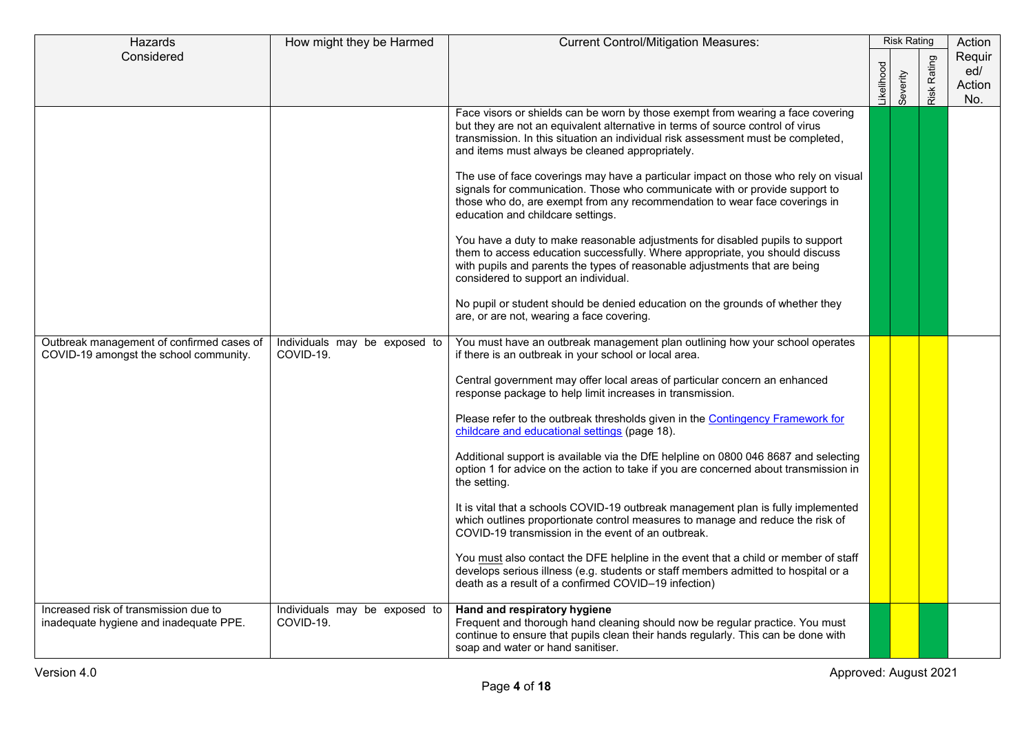| Hazards                                                                             | How might they be Harmed                   | <b>Current Control/Mitigation Measures:</b>                                                                                                                                                                                                                                                              |           | <b>Risk Rating</b> |                    | Action                         |
|-------------------------------------------------------------------------------------|--------------------------------------------|----------------------------------------------------------------------------------------------------------------------------------------------------------------------------------------------------------------------------------------------------------------------------------------------------------|-----------|--------------------|--------------------|--------------------------------|
| Considered                                                                          |                                            |                                                                                                                                                                                                                                                                                                          | ikelihood | Severity           | <b>Risk Rating</b> | Requir<br>ed/<br>Action<br>No. |
|                                                                                     |                                            | Face visors or shields can be worn by those exempt from wearing a face covering<br>but they are not an equivalent alternative in terms of source control of virus<br>transmission. In this situation an individual risk assessment must be completed,<br>and items must always be cleaned appropriately. |           |                    |                    |                                |
|                                                                                     |                                            | The use of face coverings may have a particular impact on those who rely on visual<br>signals for communication. Those who communicate with or provide support to<br>those who do, are exempt from any recommendation to wear face coverings in<br>education and childcare settings.                     |           |                    |                    |                                |
|                                                                                     |                                            | You have a duty to make reasonable adjustments for disabled pupils to support<br>them to access education successfully. Where appropriate, you should discuss<br>with pupils and parents the types of reasonable adjustments that are being<br>considered to support an individual.                      |           |                    |                    |                                |
|                                                                                     |                                            | No pupil or student should be denied education on the grounds of whether they<br>are, or are not, wearing a face covering.                                                                                                                                                                               |           |                    |                    |                                |
| Outbreak management of confirmed cases of<br>COVID-19 amongst the school community. | Individuals may be exposed to<br>COVID-19. | You must have an outbreak management plan outlining how your school operates<br>if there is an outbreak in your school or local area.                                                                                                                                                                    |           |                    |                    |                                |
|                                                                                     |                                            | Central government may offer local areas of particular concern an enhanced<br>response package to help limit increases in transmission.                                                                                                                                                                  |           |                    |                    |                                |
|                                                                                     |                                            | Please refer to the outbreak thresholds given in the Contingency Framework for<br>childcare and educational settings (page 18).                                                                                                                                                                          |           |                    |                    |                                |
|                                                                                     |                                            | Additional support is available via the DfE helpline on 0800 046 8687 and selecting<br>option 1 for advice on the action to take if you are concerned about transmission in<br>the setting.                                                                                                              |           |                    |                    |                                |
|                                                                                     |                                            | It is vital that a schools COVID-19 outbreak management plan is fully implemented<br>which outlines proportionate control measures to manage and reduce the risk of<br>COVID-19 transmission in the event of an outbreak.                                                                                |           |                    |                    |                                |
|                                                                                     |                                            | You must also contact the DFE helpline in the event that a child or member of staff<br>develops serious illness (e.g. students or staff members admitted to hospital or a<br>death as a result of a confirmed COVID-19 infection)                                                                        |           |                    |                    |                                |
| Increased risk of transmission due to<br>inadequate hygiene and inadequate PPE.     | Individuals may be exposed to<br>COVID-19. | Hand and respiratory hygiene<br>Frequent and thorough hand cleaning should now be regular practice. You must<br>continue to ensure that pupils clean their hands regularly. This can be done with<br>soap and water or hand sanitiser.                                                                   |           |                    |                    |                                |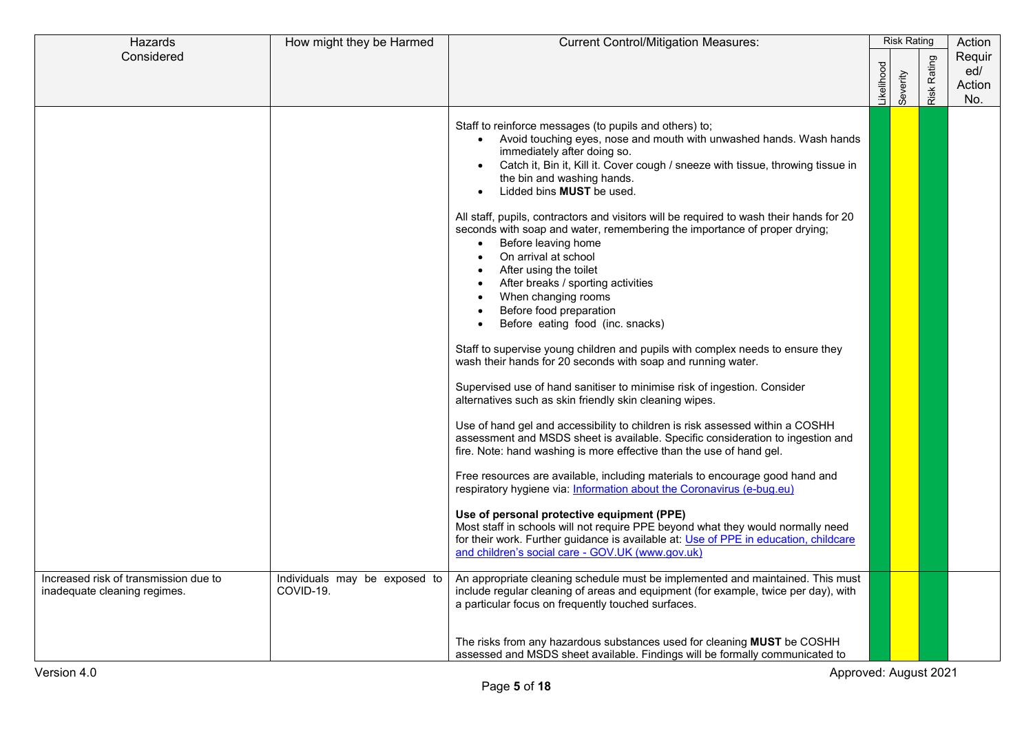| Hazards                                                               | How might they be Harmed                   | <b>Current Control/Mitigation Measures:</b>                                                                                                                                                                                                                                                                                                                                                                                                                                                                                                                                                                                                                                                                                                                                                                                                                                                                                                                                                                                                                                                                                                                                                                                                                                                                                                                                                                                                                                                                                                                                                                                                                        | <b>Risk Rating</b> |          | Action             |                                |  |
|-----------------------------------------------------------------------|--------------------------------------------|--------------------------------------------------------------------------------------------------------------------------------------------------------------------------------------------------------------------------------------------------------------------------------------------------------------------------------------------------------------------------------------------------------------------------------------------------------------------------------------------------------------------------------------------------------------------------------------------------------------------------------------------------------------------------------------------------------------------------------------------------------------------------------------------------------------------------------------------------------------------------------------------------------------------------------------------------------------------------------------------------------------------------------------------------------------------------------------------------------------------------------------------------------------------------------------------------------------------------------------------------------------------------------------------------------------------------------------------------------------------------------------------------------------------------------------------------------------------------------------------------------------------------------------------------------------------------------------------------------------------------------------------------------------------|--------------------|----------|--------------------|--------------------------------|--|
| Considered                                                            |                                            |                                                                                                                                                                                                                                                                                                                                                                                                                                                                                                                                                                                                                                                                                                                                                                                                                                                                                                                                                                                                                                                                                                                                                                                                                                                                                                                                                                                                                                                                                                                                                                                                                                                                    | .ikelihood         | Severity | <b>Risk Rating</b> | Requir<br>ed/<br>Action<br>No. |  |
|                                                                       |                                            | Staff to reinforce messages (to pupils and others) to;<br>Avoid touching eyes, nose and mouth with unwashed hands. Wash hands<br>immediately after doing so.<br>Catch it, Bin it, Kill it. Cover cough / sneeze with tissue, throwing tissue in<br>the bin and washing hands.<br>Lidded bins MUST be used.<br>All staff, pupils, contractors and visitors will be required to wash their hands for 20<br>seconds with soap and water, remembering the importance of proper drying;<br>Before leaving home<br>On arrival at school<br>After using the toilet<br>After breaks / sporting activities<br>When changing rooms<br>Before food preparation<br>Before eating food (inc. snacks)<br>Staff to supervise young children and pupils with complex needs to ensure they<br>wash their hands for 20 seconds with soap and running water.<br>Supervised use of hand sanitiser to minimise risk of ingestion. Consider<br>alternatives such as skin friendly skin cleaning wipes.<br>Use of hand gel and accessibility to children is risk assessed within a COSHH<br>assessment and MSDS sheet is available. Specific consideration to ingestion and<br>fire. Note: hand washing is more effective than the use of hand gel.<br>Free resources are available, including materials to encourage good hand and<br>respiratory hygiene via: Information about the Coronavirus (e-bug.eu)<br>Use of personal protective equipment (PPE)<br>Most staff in schools will not require PPE beyond what they would normally need<br>for their work. Further guidance is available at: Use of PPE in education, childcare<br>and children's social care - GOV.UK (www.gov.uk) |                    |          |                    |                                |  |
| Increased risk of transmission due to<br>inadequate cleaning regimes. | Individuals may be exposed to<br>COVID-19. | An appropriate cleaning schedule must be implemented and maintained. This must<br>include regular cleaning of areas and equipment (for example, twice per day), with<br>a particular focus on frequently touched surfaces.                                                                                                                                                                                                                                                                                                                                                                                                                                                                                                                                                                                                                                                                                                                                                                                                                                                                                                                                                                                                                                                                                                                                                                                                                                                                                                                                                                                                                                         |                    |          |                    |                                |  |
|                                                                       |                                            | The risks from any hazardous substances used for cleaning MUST be COSHH<br>assessed and MSDS sheet available. Findings will be formally communicated to                                                                                                                                                                                                                                                                                                                                                                                                                                                                                                                                                                                                                                                                                                                                                                                                                                                                                                                                                                                                                                                                                                                                                                                                                                                                                                                                                                                                                                                                                                            |                    |          |                    |                                |  |
| Approved: August 2021<br>Version 4.0                                  |                                            |                                                                                                                                                                                                                                                                                                                                                                                                                                                                                                                                                                                                                                                                                                                                                                                                                                                                                                                                                                                                                                                                                                                                                                                                                                                                                                                                                                                                                                                                                                                                                                                                                                                                    |                    |          |                    |                                |  |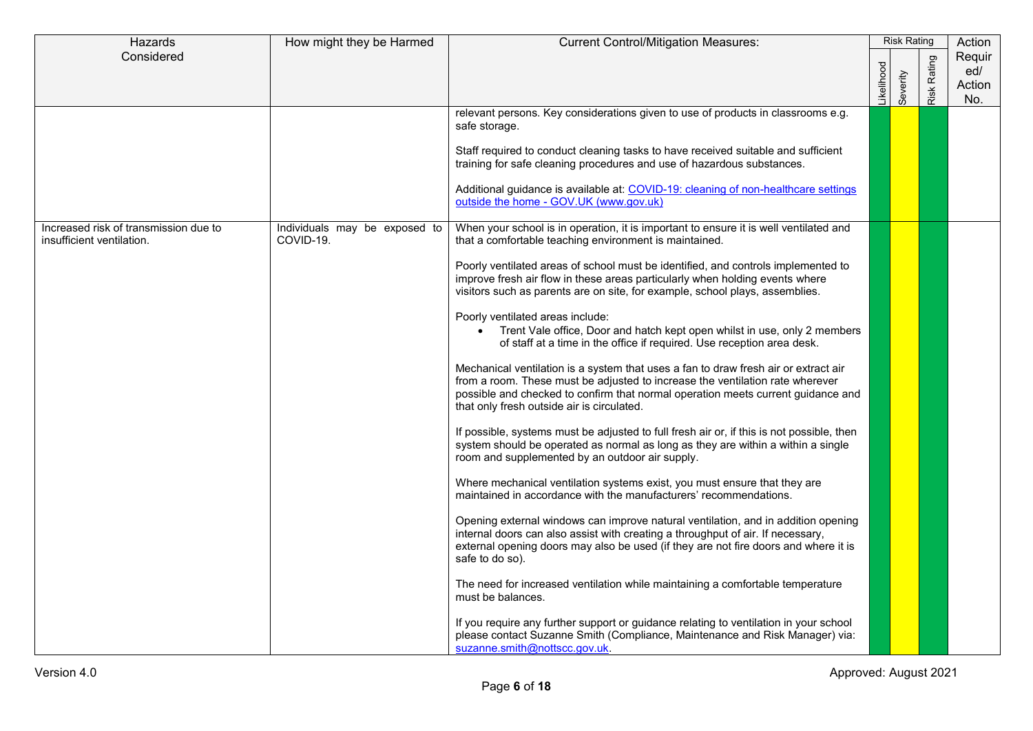| Hazards                                                            | How might they be Harmed                   | <b>Current Control/Mitigation Measures:</b>                                                                                                                                                                                                                                                            | <b>Risk Rating</b> |          | Action             |                                |
|--------------------------------------------------------------------|--------------------------------------------|--------------------------------------------------------------------------------------------------------------------------------------------------------------------------------------------------------------------------------------------------------------------------------------------------------|--------------------|----------|--------------------|--------------------------------|
| Considered                                                         |                                            |                                                                                                                                                                                                                                                                                                        | Likelihood         | Severity | <b>Risk Rating</b> | Requir<br>ed/<br>Action<br>No. |
|                                                                    |                                            | relevant persons. Key considerations given to use of products in classrooms e.g.<br>safe storage.                                                                                                                                                                                                      |                    |          |                    |                                |
|                                                                    |                                            | Staff required to conduct cleaning tasks to have received suitable and sufficient<br>training for safe cleaning procedures and use of hazardous substances.<br>Additional guidance is available at: COVID-19: cleaning of non-healthcare settings                                                      |                    |          |                    |                                |
|                                                                    |                                            | outside the home - GOV.UK (www.gov.uk)                                                                                                                                                                                                                                                                 |                    |          |                    |                                |
| Increased risk of transmission due to<br>insufficient ventilation. | Individuals may be exposed to<br>COVID-19. | When your school is in operation, it is important to ensure it is well ventilated and<br>that a comfortable teaching environment is maintained.                                                                                                                                                        |                    |          |                    |                                |
|                                                                    |                                            | Poorly ventilated areas of school must be identified, and controls implemented to<br>improve fresh air flow in these areas particularly when holding events where<br>visitors such as parents are on site, for example, school plays, assemblies.                                                      |                    |          |                    |                                |
|                                                                    |                                            | Poorly ventilated areas include:<br>• Trent Vale office, Door and hatch kept open whilst in use, only 2 members<br>of staff at a time in the office if required. Use reception area desk.                                                                                                              |                    |          |                    |                                |
|                                                                    |                                            | Mechanical ventilation is a system that uses a fan to draw fresh air or extract air<br>from a room. These must be adjusted to increase the ventilation rate wherever<br>possible and checked to confirm that normal operation meets current guidance and<br>that only fresh outside air is circulated. |                    |          |                    |                                |
|                                                                    |                                            | If possible, systems must be adjusted to full fresh air or, if this is not possible, then<br>system should be operated as normal as long as they are within a within a single<br>room and supplemented by an outdoor air supply.                                                                       |                    |          |                    |                                |
|                                                                    |                                            | Where mechanical ventilation systems exist, you must ensure that they are<br>maintained in accordance with the manufacturers' recommendations.                                                                                                                                                         |                    |          |                    |                                |
|                                                                    |                                            | Opening external windows can improve natural ventilation, and in addition opening<br>internal doors can also assist with creating a throughput of air. If necessary,<br>external opening doors may also be used (if they are not fire doors and where it is<br>safe to do so).                         |                    |          |                    |                                |
|                                                                    |                                            | The need for increased ventilation while maintaining a comfortable temperature<br>must be balances.                                                                                                                                                                                                    |                    |          |                    |                                |
|                                                                    |                                            | If you require any further support or guidance relating to ventilation in your school<br>please contact Suzanne Smith (Compliance, Maintenance and Risk Manager) via:<br>suzanne.smith@nottscc.gov.uk.                                                                                                 |                    |          |                    |                                |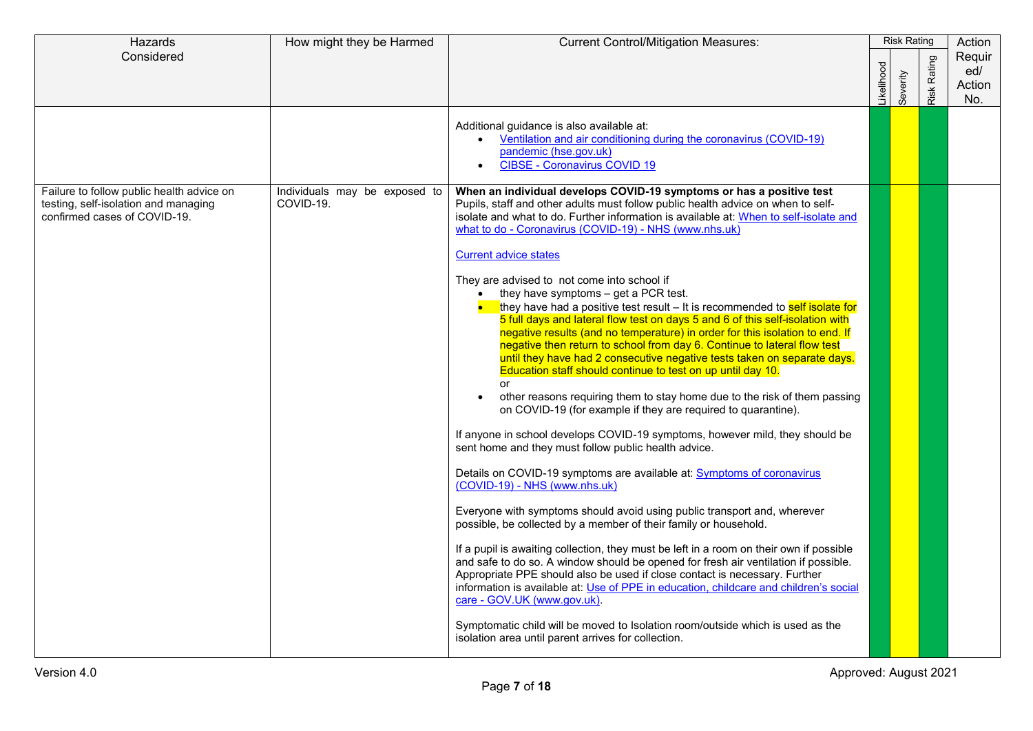| Considered<br><b>Risk Rating</b><br>ikelihood<br>Severity<br>Additional guidance is also available at:<br>Ventilation and air conditioning during the coronavirus (COVID-19)<br>pandemic (hse.gov.uk)                                                                                                                                                                                                                                                                                                                                                                                                                                                                                                                                                                                                                                                                                                                                                                                                                                                                                                                                                                                                                                                                                                                                                                                                                                                                                                                                                                                                                                                                                                                                                                                                                                                                                                                                                                                                                                                                                                                                                                                     | Hazards | How might they be Harmed | <b>Current Control/Mitigation Measures:</b> | <b>Risk Rating</b> |  | Action                         |
|-------------------------------------------------------------------------------------------------------------------------------------------------------------------------------------------------------------------------------------------------------------------------------------------------------------------------------------------------------------------------------------------------------------------------------------------------------------------------------------------------------------------------------------------------------------------------------------------------------------------------------------------------------------------------------------------------------------------------------------------------------------------------------------------------------------------------------------------------------------------------------------------------------------------------------------------------------------------------------------------------------------------------------------------------------------------------------------------------------------------------------------------------------------------------------------------------------------------------------------------------------------------------------------------------------------------------------------------------------------------------------------------------------------------------------------------------------------------------------------------------------------------------------------------------------------------------------------------------------------------------------------------------------------------------------------------------------------------------------------------------------------------------------------------------------------------------------------------------------------------------------------------------------------------------------------------------------------------------------------------------------------------------------------------------------------------------------------------------------------------------------------------------------------------------------------------|---------|--------------------------|---------------------------------------------|--------------------|--|--------------------------------|
|                                                                                                                                                                                                                                                                                                                                                                                                                                                                                                                                                                                                                                                                                                                                                                                                                                                                                                                                                                                                                                                                                                                                                                                                                                                                                                                                                                                                                                                                                                                                                                                                                                                                                                                                                                                                                                                                                                                                                                                                                                                                                                                                                                                           |         |                          |                                             |                    |  | Requir<br>ed/<br>Action<br>No. |
| $\bullet$                                                                                                                                                                                                                                                                                                                                                                                                                                                                                                                                                                                                                                                                                                                                                                                                                                                                                                                                                                                                                                                                                                                                                                                                                                                                                                                                                                                                                                                                                                                                                                                                                                                                                                                                                                                                                                                                                                                                                                                                                                                                                                                                                                                 |         |                          | <b>CIBSE - Coronavirus COVID 19</b>         |                    |  |                                |
| Failure to follow public health advice on<br>Individuals may be exposed to<br>When an individual develops COVID-19 symptoms or has a positive test<br>COVID-19.<br>Pupils, staff and other adults must follow public health advice on when to self-<br>testing, self-isolation and managing<br>confirmed cases of COVID-19.<br>isolate and what to do. Further information is available at: When to self-isolate and<br>what to do - Coronavirus (COVID-19) - NHS (www.nhs.uk)<br><b>Current advice states</b><br>They are advised to not come into school if<br>they have symptoms - get a PCR test.<br>they have had a positive test result – It is recommended to self isolate for<br>5 full days and lateral flow test on days 5 and 6 of this self-isolation with<br>negative results (and no temperature) in order for this isolation to end. If<br>negative then return to school from day 6. Continue to lateral flow test<br>until they have had 2 consecutive negative tests taken on separate days.<br>Education staff should continue to test on up until day 10.<br>or<br>other reasons requiring them to stay home due to the risk of them passing<br>$\bullet$<br>on COVID-19 (for example if they are required to quarantine).<br>If anyone in school develops COVID-19 symptoms, however mild, they should be<br>sent home and they must follow public health advice.<br>Details on COVID-19 symptoms are available at: <b>Symptoms of coronavirus</b><br>(COVID-19) - NHS (www.nhs.uk)<br>Everyone with symptoms should avoid using public transport and, wherever<br>possible, be collected by a member of their family or household.<br>If a pupil is awaiting collection, they must be left in a room on their own if possible<br>and safe to do so. A window should be opened for fresh air ventilation if possible.<br>Appropriate PPE should also be used if close contact is necessary. Further<br>information is available at: Use of PPE in education, childcare and children's social<br>care - GOV.UK (www.gov.uk).<br>Symptomatic child will be moved to Isolation room/outside which is used as the<br>isolation area until parent arrives for collection. |         |                          |                                             |                    |  |                                |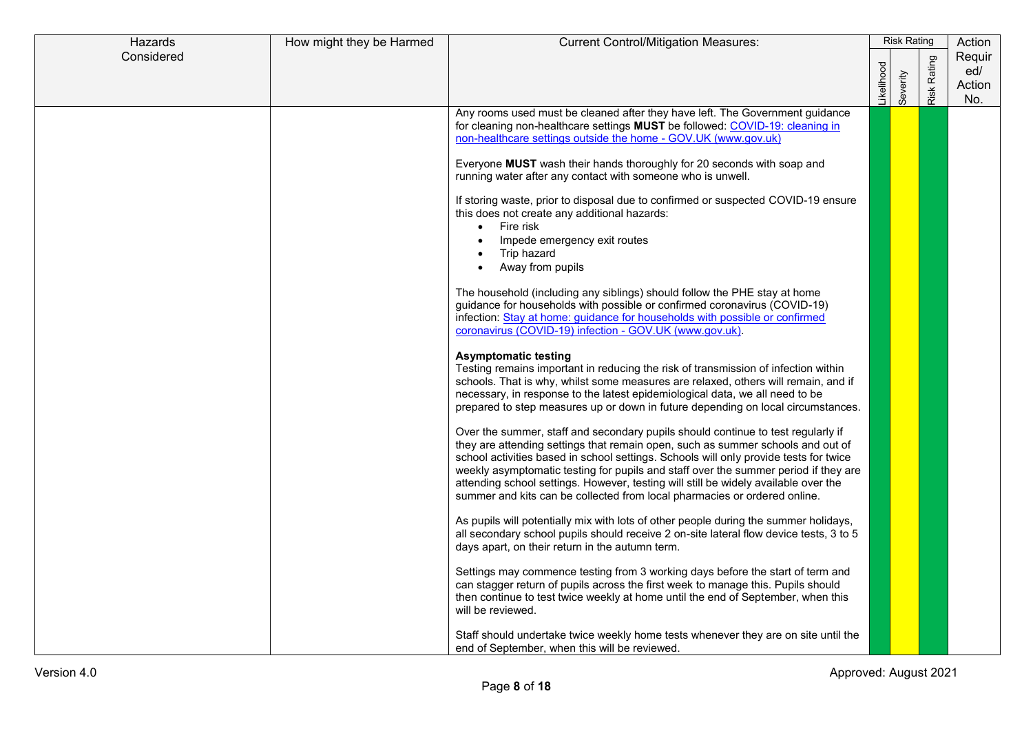| Hazards    | How might they be Harmed | <b>Current Control/Mitigation Measures:</b>                                                                                                                                                                                                                                                                                                                                                                                                                                                                             |            | <b>Risk Rating</b> |                | Action                         |
|------------|--------------------------|-------------------------------------------------------------------------------------------------------------------------------------------------------------------------------------------------------------------------------------------------------------------------------------------------------------------------------------------------------------------------------------------------------------------------------------------------------------------------------------------------------------------------|------------|--------------------|----------------|--------------------------------|
| Considered |                          |                                                                                                                                                                                                                                                                                                                                                                                                                                                                                                                         | .ikelihood | Severity           | Rating<br>Risk | Requir<br>ed/<br>Action<br>No. |
|            |                          | Any rooms used must be cleaned after they have left. The Government guidance<br>for cleaning non-healthcare settings MUST be followed: COVID-19: cleaning in<br>non-healthcare settings outside the home - GOV.UK (www.gov.uk)                                                                                                                                                                                                                                                                                          |            |                    |                |                                |
|            |                          | Everyone MUST wash their hands thoroughly for 20 seconds with soap and<br>running water after any contact with someone who is unwell.                                                                                                                                                                                                                                                                                                                                                                                   |            |                    |                |                                |
|            |                          | If storing waste, prior to disposal due to confirmed or suspected COVID-19 ensure<br>this does not create any additional hazards:<br>Fire risk<br>$\bullet$                                                                                                                                                                                                                                                                                                                                                             |            |                    |                |                                |
|            |                          | Impede emergency exit routes<br>Trip hazard<br>Away from pupils                                                                                                                                                                                                                                                                                                                                                                                                                                                         |            |                    |                |                                |
|            |                          | The household (including any siblings) should follow the PHE stay at home<br>guidance for households with possible or confirmed coronavirus (COVID-19)<br>infection: Stay at home: guidance for households with possible or confirmed<br>coronavirus (COVID-19) infection - GOV.UK (www.gov.uk).                                                                                                                                                                                                                        |            |                    |                |                                |
|            |                          | <b>Asymptomatic testing</b><br>Testing remains important in reducing the risk of transmission of infection within<br>schools. That is why, whilst some measures are relaxed, others will remain, and if<br>necessary, in response to the latest epidemiological data, we all need to be<br>prepared to step measures up or down in future depending on local circumstances.                                                                                                                                             |            |                    |                |                                |
|            |                          | Over the summer, staff and secondary pupils should continue to test regularly if<br>they are attending settings that remain open, such as summer schools and out of<br>school activities based in school settings. Schools will only provide tests for twice<br>weekly asymptomatic testing for pupils and staff over the summer period if they are<br>attending school settings. However, testing will still be widely available over the<br>summer and kits can be collected from local pharmacies or ordered online. |            |                    |                |                                |
|            |                          | As pupils will potentially mix with lots of other people during the summer holidays,<br>all secondary school pupils should receive 2 on-site lateral flow device tests, 3 to 5<br>days apart, on their return in the autumn term.                                                                                                                                                                                                                                                                                       |            |                    |                |                                |
|            |                          | Settings may commence testing from 3 working days before the start of term and<br>can stagger return of pupils across the first week to manage this. Pupils should<br>then continue to test twice weekly at home until the end of September, when this<br>will be reviewed.                                                                                                                                                                                                                                             |            |                    |                |                                |
|            |                          | Staff should undertake twice weekly home tests whenever they are on site until the<br>end of September, when this will be reviewed.                                                                                                                                                                                                                                                                                                                                                                                     |            |                    |                |                                |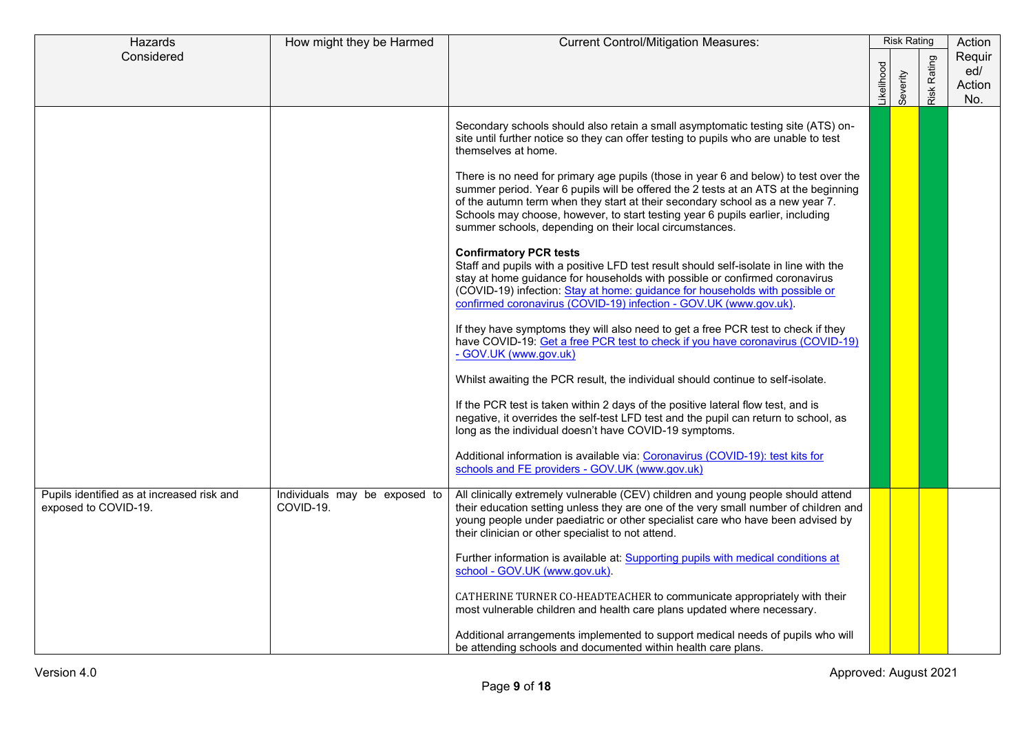| Hazards                                                            | How might they be Harmed                   | <b>Current Control/Mitigation Measures:</b>                                                                                                                                                                                                                                                                                                                                                               |            | <b>Risk Rating</b> |                    | Action                         |
|--------------------------------------------------------------------|--------------------------------------------|-----------------------------------------------------------------------------------------------------------------------------------------------------------------------------------------------------------------------------------------------------------------------------------------------------------------------------------------------------------------------------------------------------------|------------|--------------------|--------------------|--------------------------------|
| Considered                                                         |                                            |                                                                                                                                                                                                                                                                                                                                                                                                           | .ikelihood | Severity           | <b>Risk Rating</b> | Reguir<br>ed/<br>Action<br>No. |
|                                                                    |                                            | Secondary schools should also retain a small asymptomatic testing site (ATS) on-<br>site until further notice so they can offer testing to pupils who are unable to test<br>themselves at home.                                                                                                                                                                                                           |            |                    |                    |                                |
|                                                                    |                                            | There is no need for primary age pupils (those in year 6 and below) to test over the<br>summer period. Year 6 pupils will be offered the 2 tests at an ATS at the beginning<br>of the autumn term when they start at their secondary school as a new year 7.<br>Schools may choose, however, to start testing year 6 pupils earlier, including<br>summer schools, depending on their local circumstances. |            |                    |                    |                                |
|                                                                    |                                            | <b>Confirmatory PCR tests</b><br>Staff and pupils with a positive LFD test result should self-isolate in line with the<br>stay at home guidance for households with possible or confirmed coronavirus<br>(COVID-19) infection: Stay at home: guidance for households with possible or<br>confirmed coronavirus (COVID-19) infection - GOV.UK (www.gov.uk).                                                |            |                    |                    |                                |
|                                                                    |                                            | If they have symptoms they will also need to get a free PCR test to check if they<br>have COVID-19: Get a free PCR test to check if you have coronavirus (COVID-19)<br>- GOV.UK (www.gov.uk)                                                                                                                                                                                                              |            |                    |                    |                                |
|                                                                    |                                            | Whilst awaiting the PCR result, the individual should continue to self-isolate.                                                                                                                                                                                                                                                                                                                           |            |                    |                    |                                |
|                                                                    |                                            | If the PCR test is taken within 2 days of the positive lateral flow test, and is<br>negative, it overrides the self-test LFD test and the pupil can return to school, as<br>long as the individual doesn't have COVID-19 symptoms.                                                                                                                                                                        |            |                    |                    |                                |
|                                                                    |                                            | Additional information is available via: Coronavirus (COVID-19): test kits for<br>schools and FE providers - GOV.UK (www.gov.uk)                                                                                                                                                                                                                                                                          |            |                    |                    |                                |
| Pupils identified as at increased risk and<br>exposed to COVID-19. | Individuals may be exposed to<br>COVID-19. | All clinically extremely vulnerable (CEV) children and young people should attend<br>their education setting unless they are one of the very small number of children and<br>young people under paediatric or other specialist care who have been advised by<br>their clinician or other specialist to not attend.                                                                                        |            |                    |                    |                                |
|                                                                    |                                            | Further information is available at: Supporting pupils with medical conditions at<br>school - GOV.UK (www.gov.uk).                                                                                                                                                                                                                                                                                        |            |                    |                    |                                |
|                                                                    |                                            | CATHERINE TURNER CO-HEADTEACHER to communicate appropriately with their<br>most vulnerable children and health care plans updated where necessary.                                                                                                                                                                                                                                                        |            |                    |                    |                                |
|                                                                    |                                            | Additional arrangements implemented to support medical needs of pupils who will<br>be attending schools and documented within health care plans.                                                                                                                                                                                                                                                          |            |                    |                    |                                |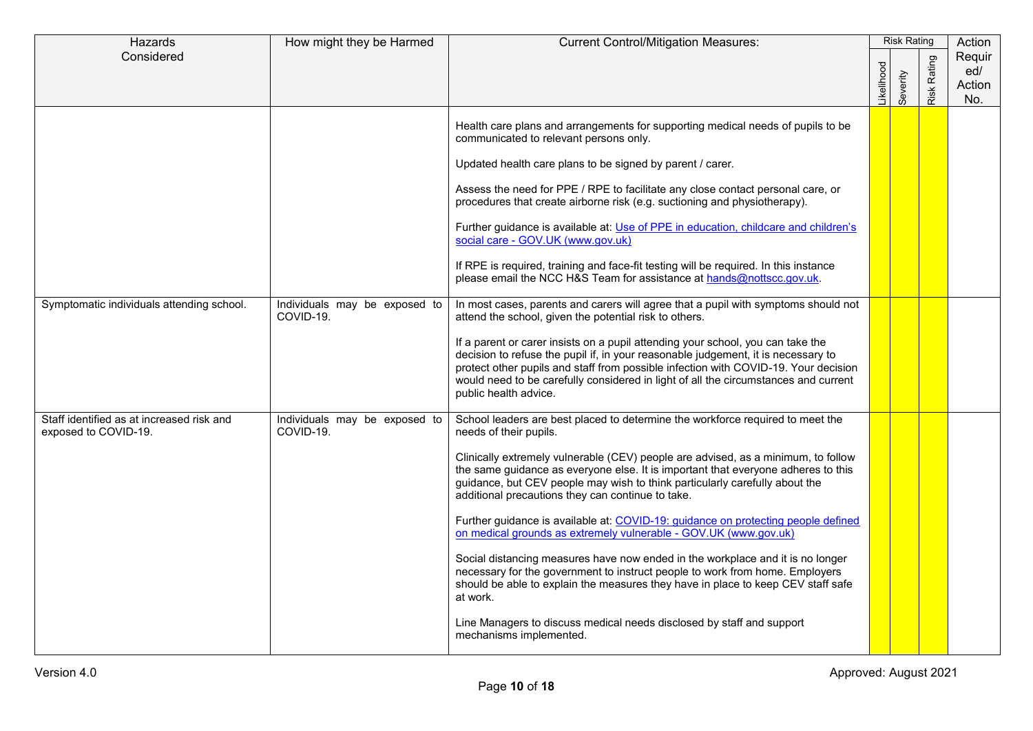| Hazards                                                           | How might they be Harmed                   | <b>Current Control/Mitigation Measures:</b>                                                                                                                                                                                                                                                                                                                                                                                                                                                                                                                                                                                                                                                                                                                                                                                                                                                                                                           | <b>Risk Rating</b> |          | Action      |                                |
|-------------------------------------------------------------------|--------------------------------------------|-------------------------------------------------------------------------------------------------------------------------------------------------------------------------------------------------------------------------------------------------------------------------------------------------------------------------------------------------------------------------------------------------------------------------------------------------------------------------------------------------------------------------------------------------------------------------------------------------------------------------------------------------------------------------------------------------------------------------------------------------------------------------------------------------------------------------------------------------------------------------------------------------------------------------------------------------------|--------------------|----------|-------------|--------------------------------|
| Considered                                                        |                                            |                                                                                                                                                                                                                                                                                                                                                                                                                                                                                                                                                                                                                                                                                                                                                                                                                                                                                                                                                       | _ikelihood         | Severity | Risk Rating | Requir<br>ed/<br>Action<br>No. |
|                                                                   |                                            | Health care plans and arrangements for supporting medical needs of pupils to be<br>communicated to relevant persons only.<br>Updated health care plans to be signed by parent / carer.<br>Assess the need for PPE / RPE to facilitate any close contact personal care, or<br>procedures that create airborne risk (e.g. suctioning and physiotherapy).<br>Further guidance is available at: Use of PPE in education, childcare and children's<br>social care - GOV.UK (www.gov.uk)                                                                                                                                                                                                                                                                                                                                                                                                                                                                    |                    |          |             |                                |
|                                                                   |                                            | If RPE is required, training and face-fit testing will be required. In this instance<br>please email the NCC H&S Team for assistance at hands@nottscc.gov.uk.                                                                                                                                                                                                                                                                                                                                                                                                                                                                                                                                                                                                                                                                                                                                                                                         |                    |          |             |                                |
| Symptomatic individuals attending school.                         | Individuals may be exposed to<br>COVID-19. | In most cases, parents and carers will agree that a pupil with symptoms should not<br>attend the school, given the potential risk to others.<br>If a parent or carer insists on a pupil attending your school, you can take the<br>decision to refuse the pupil if, in your reasonable judgement, it is necessary to<br>protect other pupils and staff from possible infection with COVID-19. Your decision<br>would need to be carefully considered in light of all the circumstances and current<br>public health advice.                                                                                                                                                                                                                                                                                                                                                                                                                           |                    |          |             |                                |
| Staff identified as at increased risk and<br>exposed to COVID-19. | Individuals may be exposed to<br>COVID-19. | School leaders are best placed to determine the workforce required to meet the<br>needs of their pupils.<br>Clinically extremely vulnerable (CEV) people are advised, as a minimum, to follow<br>the same guidance as everyone else. It is important that everyone adheres to this<br>guidance, but CEV people may wish to think particularly carefully about the<br>additional precautions they can continue to take.<br>Further guidance is available at: COVID-19: guidance on protecting people defined<br>on medical grounds as extremely vulnerable - GOV.UK (www.gov.uk)<br>Social distancing measures have now ended in the workplace and it is no longer<br>necessary for the government to instruct people to work from home. Employers<br>should be able to explain the measures they have in place to keep CEV staff safe<br>at work.<br>Line Managers to discuss medical needs disclosed by staff and support<br>mechanisms implemented. |                    |          |             |                                |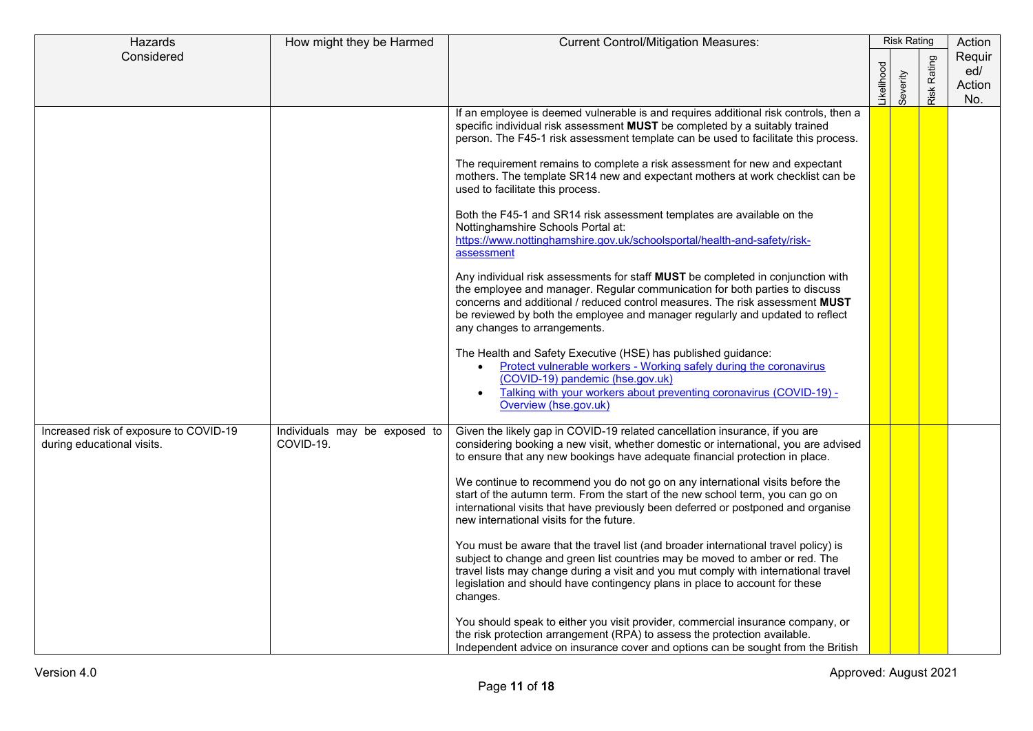| Hazards                                                              | How might they be Harmed                   | <b>Current Control/Mitigation Measures:</b>                                                                                                                                                                                                                                                                                                                                                                                                                                                                                                                                                                                                                                                                                                                                                                                                                                                                                                                                                                                                                                                                                                                                                                                                                                                                                               | <b>Risk Rating</b> |          | Action      |                                |
|----------------------------------------------------------------------|--------------------------------------------|-------------------------------------------------------------------------------------------------------------------------------------------------------------------------------------------------------------------------------------------------------------------------------------------------------------------------------------------------------------------------------------------------------------------------------------------------------------------------------------------------------------------------------------------------------------------------------------------------------------------------------------------------------------------------------------------------------------------------------------------------------------------------------------------------------------------------------------------------------------------------------------------------------------------------------------------------------------------------------------------------------------------------------------------------------------------------------------------------------------------------------------------------------------------------------------------------------------------------------------------------------------------------------------------------------------------------------------------|--------------------|----------|-------------|--------------------------------|
| Considered                                                           |                                            |                                                                                                                                                                                                                                                                                                                                                                                                                                                                                                                                                                                                                                                                                                                                                                                                                                                                                                                                                                                                                                                                                                                                                                                                                                                                                                                                           | ikelihood          | Severity | Risk Rating | Requir<br>ed/<br>Action<br>No. |
|                                                                      |                                            | If an employee is deemed vulnerable is and requires additional risk controls, then a<br>specific individual risk assessment MUST be completed by a suitably trained<br>person. The F45-1 risk assessment template can be used to facilitate this process.<br>The requirement remains to complete a risk assessment for new and expectant<br>mothers. The template SR14 new and expectant mothers at work checklist can be<br>used to facilitate this process.<br>Both the F45-1 and SR14 risk assessment templates are available on the<br>Nottinghamshire Schools Portal at:<br>https://www.nottinghamshire.gov.uk/schoolsportal/health-and-safety/risk-<br>assessment<br>Any individual risk assessments for staff MUST be completed in conjunction with<br>the employee and manager. Regular communication for both parties to discuss<br>concerns and additional / reduced control measures. The risk assessment <b>MUST</b><br>be reviewed by both the employee and manager regularly and updated to reflect<br>any changes to arrangements.<br>The Health and Safety Executive (HSE) has published guidance:<br>Protect vulnerable workers - Working safely during the coronavirus<br>(COVID-19) pandemic (hse.gov.uk)<br>Talking with your workers about preventing coronavirus (COVID-19) -<br>$\bullet$<br>Overview (hse.gov.uk) |                    |          |             |                                |
| Increased risk of exposure to COVID-19<br>during educational visits. | Individuals may be exposed to<br>COVID-19. | Given the likely gap in COVID-19 related cancellation insurance, if you are<br>considering booking a new visit, whether domestic or international, you are advised<br>to ensure that any new bookings have adequate financial protection in place.<br>We continue to recommend you do not go on any international visits before the<br>start of the autumn term. From the start of the new school term, you can go on<br>international visits that have previously been deferred or postponed and organise<br>new international visits for the future.<br>You must be aware that the travel list (and broader international travel policy) is<br>subject to change and green list countries may be moved to amber or red. The<br>travel lists may change during a visit and you mut comply with international travel<br>legislation and should have contingency plans in place to account for these<br>changes.<br>You should speak to either you visit provider, commercial insurance company, or<br>the risk protection arrangement (RPA) to assess the protection available.<br>Independent advice on insurance cover and options can be sought from the British                                                                                                                                                                       |                    |          |             |                                |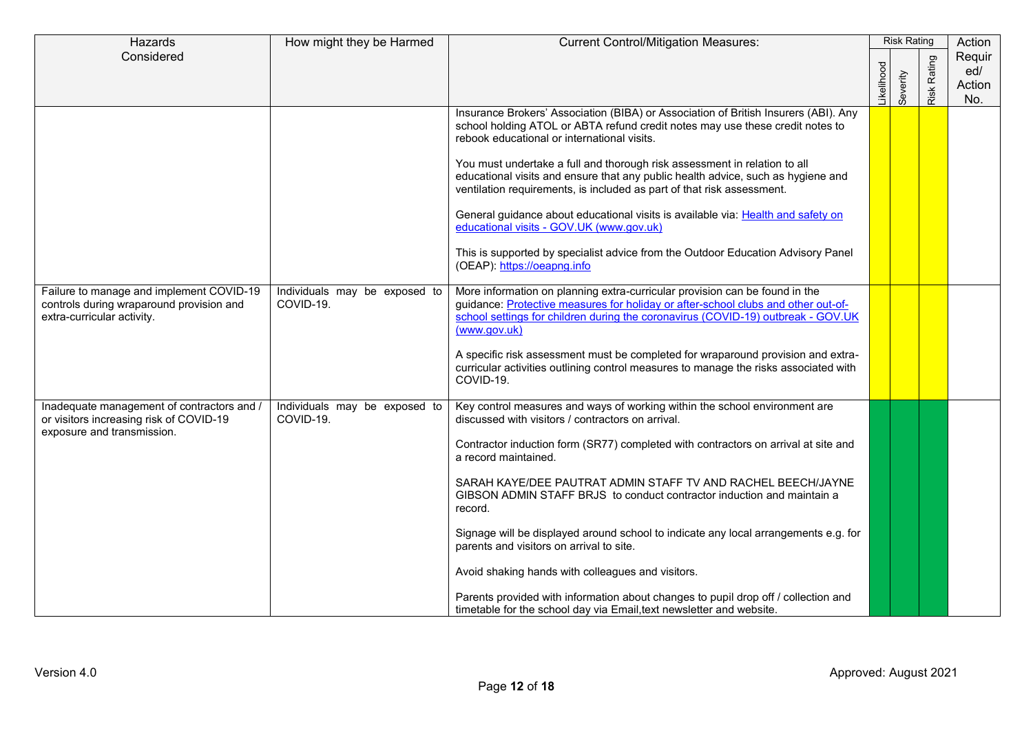| Hazards                                                                                                             | How might they be Harmed                   | <b>Current Control/Mitigation Measures:</b>                                                                                                                                                                                                                                                                                                                                                                                                                                                                                                                                                                                                                                                                                                              | <b>Risk Rating</b> |          | Action      |                                |
|---------------------------------------------------------------------------------------------------------------------|--------------------------------------------|----------------------------------------------------------------------------------------------------------------------------------------------------------------------------------------------------------------------------------------------------------------------------------------------------------------------------------------------------------------------------------------------------------------------------------------------------------------------------------------------------------------------------------------------------------------------------------------------------------------------------------------------------------------------------------------------------------------------------------------------------------|--------------------|----------|-------------|--------------------------------|
| Considered                                                                                                          |                                            |                                                                                                                                                                                                                                                                                                                                                                                                                                                                                                                                                                                                                                                                                                                                                          | ikelihood          | Severity | Risk Rating | Requir<br>ed/<br>Action<br>No. |
|                                                                                                                     |                                            | Insurance Brokers' Association (BIBA) or Association of British Insurers (ABI). Any<br>school holding ATOL or ABTA refund credit notes may use these credit notes to<br>rebook educational or international visits.<br>You must undertake a full and thorough risk assessment in relation to all<br>educational visits and ensure that any public health advice, such as hygiene and<br>ventilation requirements, is included as part of that risk assessment.<br>General guidance about educational visits is available via: Health and safety on<br>educational visits - GOV.UK (www.gov.uk)                                                                                                                                                           |                    |          |             |                                |
|                                                                                                                     |                                            | This is supported by specialist advice from the Outdoor Education Advisory Panel<br>(OEAP): https://oeapng.info                                                                                                                                                                                                                                                                                                                                                                                                                                                                                                                                                                                                                                          |                    |          |             |                                |
| Failure to manage and implement COVID-19<br>controls during wraparound provision and<br>extra-curricular activity.  | Individuals may be exposed to<br>COVID-19. | More information on planning extra-curricular provision can be found in the<br>guidance: Protective measures for holiday or after-school clubs and other out-of-<br>school settings for children during the coronavirus (COVID-19) outbreak - GOV.UK<br>(www.gov.uk)<br>A specific risk assessment must be completed for wraparound provision and extra-<br>curricular activities outlining control measures to manage the risks associated with<br>COVID-19.                                                                                                                                                                                                                                                                                            |                    |          |             |                                |
| Inadequate management of contractors and /<br>or visitors increasing risk of COVID-19<br>exposure and transmission. | Individuals may be exposed to<br>COVID-19. | Key control measures and ways of working within the school environment are<br>discussed with visitors / contractors on arrival.<br>Contractor induction form (SR77) completed with contractors on arrival at site and<br>a record maintained.<br>SARAH KAYE/DEE PAUTRAT ADMIN STAFF TV AND RACHEL BEECH/JAYNE<br>GIBSON ADMIN STAFF BRJS to conduct contractor induction and maintain a<br>record.<br>Signage will be displayed around school to indicate any local arrangements e.g. for<br>parents and visitors on arrival to site.<br>Avoid shaking hands with colleagues and visitors.<br>Parents provided with information about changes to pupil drop off / collection and<br>timetable for the school day via Email, text newsletter and website. |                    |          |             |                                |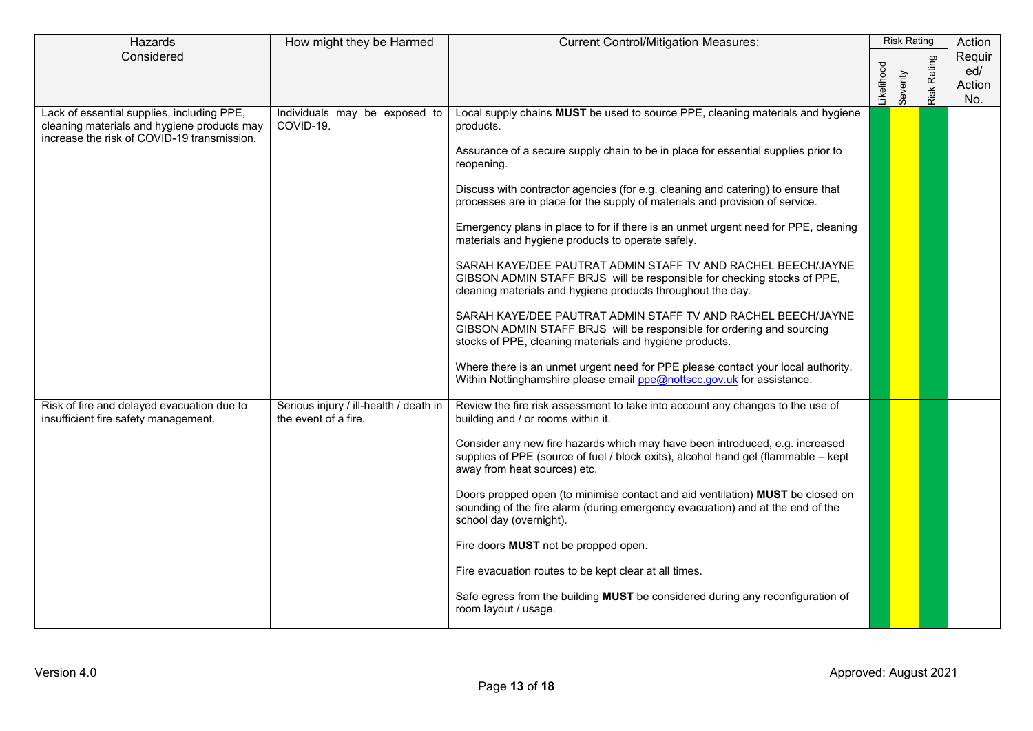| Hazards                                                                            | How might they be Harmed                                       | <b>Current Control/Mitigation Measures:</b>                                                                          | <b>Risk Rating</b> |          |             | Action |
|------------------------------------------------------------------------------------|----------------------------------------------------------------|----------------------------------------------------------------------------------------------------------------------|--------------------|----------|-------------|--------|
| Considered                                                                         |                                                                |                                                                                                                      |                    |          |             | Requir |
|                                                                                    |                                                                |                                                                                                                      |                    |          |             | ed/    |
|                                                                                    |                                                                |                                                                                                                      | ikelihood          | Severity | Risk Rating | Action |
| Lack of essential supplies, including PPE,                                         | Individuals may be exposed to                                  | Local supply chains MUST be used to source PPE, cleaning materials and hygiene                                       |                    |          |             | No.    |
| cleaning materials and hygiene products may                                        | COVID-19.                                                      | products.                                                                                                            |                    |          |             |        |
| increase the risk of COVID-19 transmission.                                        |                                                                |                                                                                                                      |                    |          |             |        |
|                                                                                    |                                                                | Assurance of a secure supply chain to be in place for essential supplies prior to                                    |                    |          |             |        |
|                                                                                    |                                                                | reopening.                                                                                                           |                    |          |             |        |
|                                                                                    |                                                                | Discuss with contractor agencies (for e.g. cleaning and catering) to ensure that                                     |                    |          |             |        |
|                                                                                    |                                                                | processes are in place for the supply of materials and provision of service.                                         |                    |          |             |        |
|                                                                                    |                                                                |                                                                                                                      |                    |          |             |        |
|                                                                                    |                                                                | Emergency plans in place to for if there is an unmet urgent need for PPE, cleaning                                   |                    |          |             |        |
|                                                                                    |                                                                | materials and hygiene products to operate safely.                                                                    |                    |          |             |        |
|                                                                                    |                                                                | SARAH KAYE/DEE PAUTRAT ADMIN STAFF TV AND RACHEL BEECH/JAYNE                                                         |                    |          |             |        |
|                                                                                    |                                                                | GIBSON ADMIN STAFF BRJS will be responsible for checking stocks of PPE,                                              |                    |          |             |        |
|                                                                                    |                                                                | cleaning materials and hygiene products throughout the day.                                                          |                    |          |             |        |
|                                                                                    |                                                                | SARAH KAYE/DEE PAUTRAT ADMIN STAFF TV AND RACHEL BEECH/JAYNE                                                         |                    |          |             |        |
|                                                                                    |                                                                | GIBSON ADMIN STAFF BRJS will be responsible for ordering and sourcing                                                |                    |          |             |        |
|                                                                                    |                                                                | stocks of PPE, cleaning materials and hygiene products.                                                              |                    |          |             |        |
|                                                                                    |                                                                | Where there is an unmet urgent need for PPE please contact your local authority.                                     |                    |          |             |        |
|                                                                                    |                                                                | Within Nottinghamshire please email $ppe@$ nottscc.gov.uk for assistance.                                            |                    |          |             |        |
|                                                                                    |                                                                |                                                                                                                      |                    |          |             |        |
| Risk of fire and delayed evacuation due to<br>insufficient fire safety management. | Serious injury / ill-health / death in<br>the event of a fire. | Review the fire risk assessment to take into account any changes to the use of<br>building and / or rooms within it. |                    |          |             |        |
|                                                                                    |                                                                |                                                                                                                      |                    |          |             |        |
|                                                                                    |                                                                | Consider any new fire hazards which may have been introduced, e.g. increased                                         |                    |          |             |        |
|                                                                                    |                                                                | supplies of PPE (source of fuel / block exits), alcohol hand gel (flammable - kept                                   |                    |          |             |        |
|                                                                                    |                                                                | away from heat sources) etc.                                                                                         |                    |          |             |        |
|                                                                                    |                                                                | Doors propped open (to minimise contact and aid ventilation) MUST be closed on                                       |                    |          |             |        |
|                                                                                    |                                                                | sounding of the fire alarm (during emergency evacuation) and at the end of the                                       |                    |          |             |        |
|                                                                                    |                                                                | school day (overnight).                                                                                              |                    |          |             |        |
|                                                                                    |                                                                | Fire doors MUST not be propped open.                                                                                 |                    |          |             |        |
|                                                                                    |                                                                | Fire evacuation routes to be kept clear at all times.                                                                |                    |          |             |        |
|                                                                                    |                                                                | Safe egress from the building MUST be considered during any reconfiguration of                                       |                    |          |             |        |
|                                                                                    |                                                                | room layout / usage.                                                                                                 |                    |          |             |        |
|                                                                                    |                                                                |                                                                                                                      |                    |          |             |        |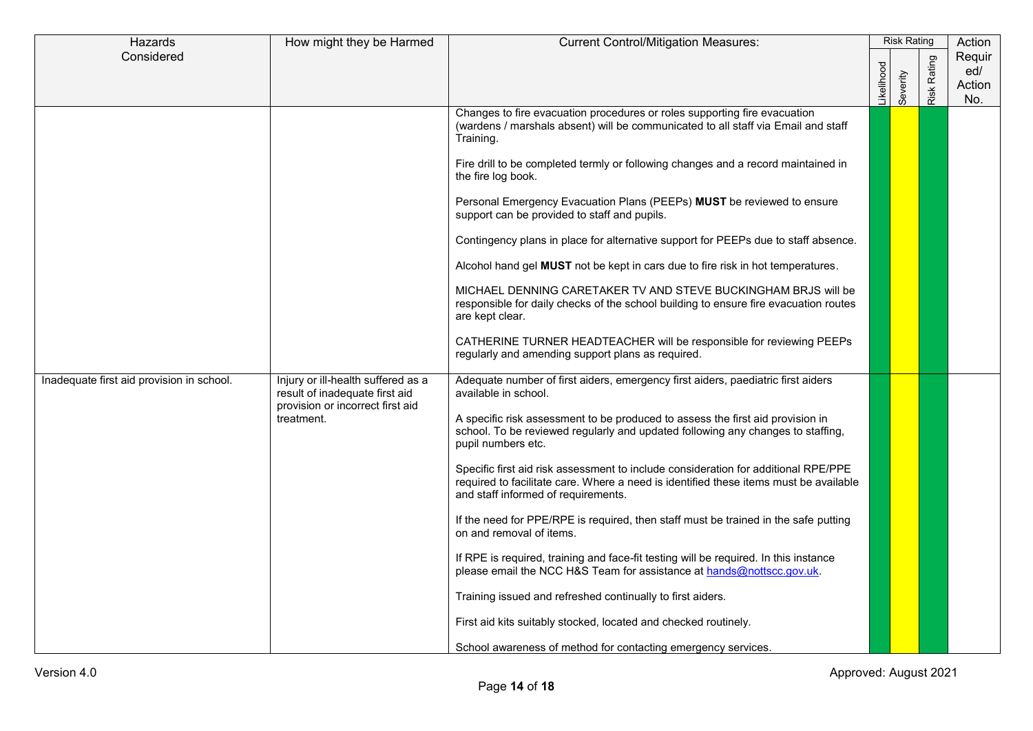| Hazards                                   | How might they be Harmed                                                                                               | <b>Current Control/Mitigation Measures:</b>                                                                                                                                                                                                                                                                                                                                                                                                                                                                                                                                                                                                                                                                                                                                                                                                                                                                                                                                                                     |            |          | <b>Risk Rating</b> | Action                         |
|-------------------------------------------|------------------------------------------------------------------------------------------------------------------------|-----------------------------------------------------------------------------------------------------------------------------------------------------------------------------------------------------------------------------------------------------------------------------------------------------------------------------------------------------------------------------------------------------------------------------------------------------------------------------------------------------------------------------------------------------------------------------------------------------------------------------------------------------------------------------------------------------------------------------------------------------------------------------------------------------------------------------------------------------------------------------------------------------------------------------------------------------------------------------------------------------------------|------------|----------|--------------------|--------------------------------|
| Considered                                |                                                                                                                        |                                                                                                                                                                                                                                                                                                                                                                                                                                                                                                                                                                                                                                                                                                                                                                                                                                                                                                                                                                                                                 | .ikelihood | Severity | Rating<br>Risk     | Requir<br>ed/<br>Action<br>No. |
|                                           |                                                                                                                        | Changes to fire evacuation procedures or roles supporting fire evacuation<br>(wardens / marshals absent) will be communicated to all staff via Email and staff<br>Training.<br>Fire drill to be completed termly or following changes and a record maintained in<br>the fire log book.<br>Personal Emergency Evacuation Plans (PEEPs) MUST be reviewed to ensure<br>support can be provided to staff and pupils.<br>Contingency plans in place for alternative support for PEEPs due to staff absence.<br>Alcohol hand gel MUST not be kept in cars due to fire risk in hot temperatures.<br>MICHAEL DENNING CARETAKER TV AND STEVE BUCKINGHAM BRJS will be<br>responsible for daily checks of the school building to ensure fire evacuation routes<br>are kept clear.<br>CATHERINE TURNER HEADTEACHER will be responsible for reviewing PEEPs<br>regularly and amending support plans as required.                                                                                                             |            |          |                    |                                |
| Inadequate first aid provision in school. | Injury or ill-health suffered as a<br>result of inadequate first aid<br>provision or incorrect first aid<br>treatment. | Adequate number of first aiders, emergency first aiders, paediatric first aiders<br>available in school.<br>A specific risk assessment to be produced to assess the first aid provision in<br>school. To be reviewed regularly and updated following any changes to staffing,<br>pupil numbers etc.<br>Specific first aid risk assessment to include consideration for additional RPE/PPE<br>required to facilitate care. Where a need is identified these items must be available<br>and staff informed of requirements.<br>If the need for PPE/RPE is required, then staff must be trained in the safe putting<br>on and removal of items.<br>If RPE is required, training and face-fit testing will be required. In this instance<br>please email the NCC H&S Team for assistance at hands@nottscc.gov.uk.<br>Training issued and refreshed continually to first aiders.<br>First aid kits suitably stocked, located and checked routinely.<br>School awareness of method for contacting emergency services. |            |          |                    |                                |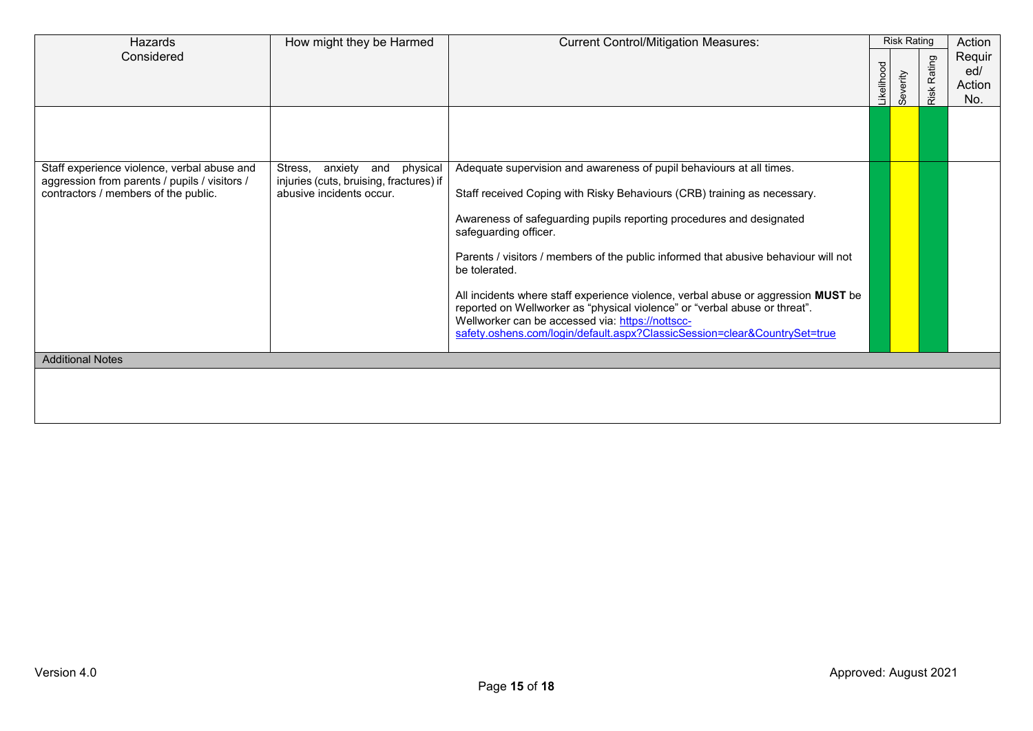| Hazards                                                                                                                              | How might they be Harmed                                                                               | <b>Current Control/Mitigation Measures:</b>                                                                                                                                                                                                                                                                                                                                                                                                                                                                                                                                                                                                                   |            | <b>Risk Rating</b> |                    | Action                         |
|--------------------------------------------------------------------------------------------------------------------------------------|--------------------------------------------------------------------------------------------------------|---------------------------------------------------------------------------------------------------------------------------------------------------------------------------------------------------------------------------------------------------------------------------------------------------------------------------------------------------------------------------------------------------------------------------------------------------------------------------------------------------------------------------------------------------------------------------------------------------------------------------------------------------------------|------------|--------------------|--------------------|--------------------------------|
| Considered                                                                                                                           |                                                                                                        |                                                                                                                                                                                                                                                                                                                                                                                                                                                                                                                                                                                                                                                               | .ikelihood | Severity           | <b>Risk Rating</b> | Requir<br>ed/<br>Action<br>No. |
|                                                                                                                                      |                                                                                                        |                                                                                                                                                                                                                                                                                                                                                                                                                                                                                                                                                                                                                                                               |            |                    |                    |                                |
| Staff experience violence, verbal abuse and<br>aggression from parents / pupils / visitors /<br>contractors / members of the public. | anxiety and physical<br>Stress,<br>injuries (cuts, bruising, fractures) if<br>abusive incidents occur. | Adequate supervision and awareness of pupil behaviours at all times.<br>Staff received Coping with Risky Behaviours (CRB) training as necessary.<br>Awareness of safeguarding pupils reporting procedures and designated<br>safeguarding officer.<br>Parents / visitors / members of the public informed that abusive behaviour will not<br>be tolerated.<br>All incidents where staff experience violence, verbal abuse or aggression MUST be<br>reported on Wellworker as "physical violence" or "verbal abuse or threat".<br>Wellworker can be accessed via: https://nottscc-<br>safety.oshens.com/login/default.aspx?ClassicSession=clear&CountrySet=true |            |                    |                    |                                |
| <b>Additional Notes</b>                                                                                                              |                                                                                                        |                                                                                                                                                                                                                                                                                                                                                                                                                                                                                                                                                                                                                                                               |            |                    |                    |                                |
|                                                                                                                                      |                                                                                                        |                                                                                                                                                                                                                                                                                                                                                                                                                                                                                                                                                                                                                                                               |            |                    |                    |                                |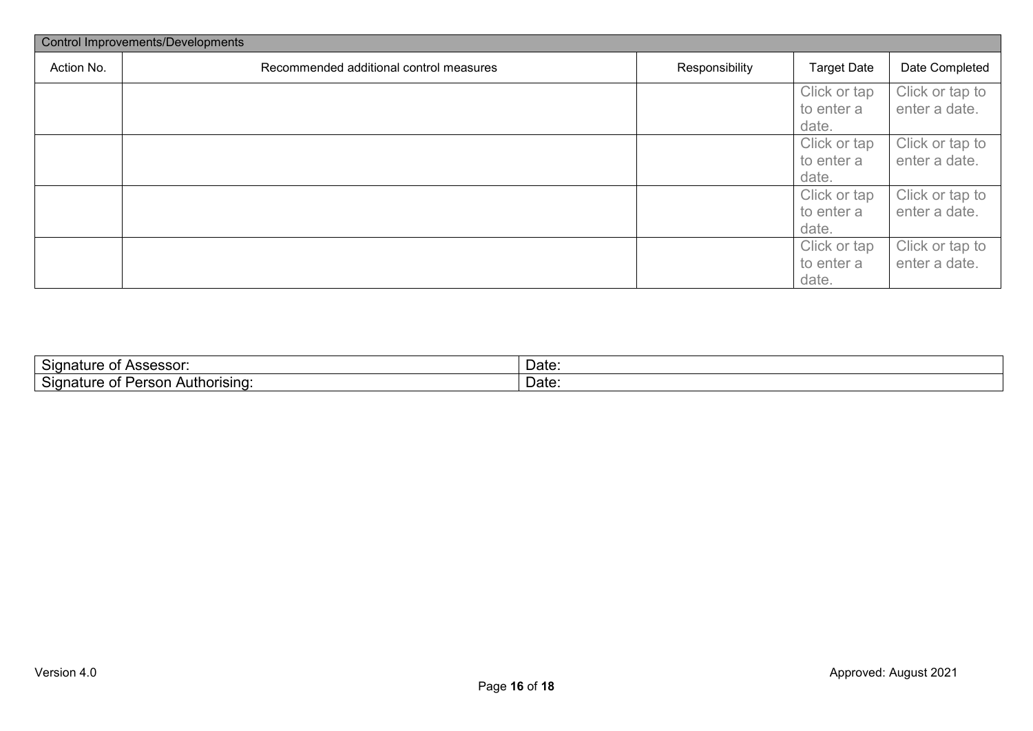|            | <b>Control Improvements/Developments</b> |                |                    |                 |  |  |  |  |  |  |
|------------|------------------------------------------|----------------|--------------------|-----------------|--|--|--|--|--|--|
| Action No. | Recommended additional control measures  | Responsibility | <b>Target Date</b> | Date Completed  |  |  |  |  |  |  |
|            |                                          |                | Click or tap       | Click or tap to |  |  |  |  |  |  |
|            |                                          |                | to enter a         | enter a date.   |  |  |  |  |  |  |
|            |                                          |                | date.              |                 |  |  |  |  |  |  |
|            |                                          |                | Click or tap       | Click or tap to |  |  |  |  |  |  |
|            |                                          |                | to enter a         | enter a date.   |  |  |  |  |  |  |
|            |                                          |                | date.              |                 |  |  |  |  |  |  |
|            |                                          |                | Click or tap       | Click or tap to |  |  |  |  |  |  |
|            |                                          |                | to enter a         | enter a date.   |  |  |  |  |  |  |
|            |                                          |                | date.              |                 |  |  |  |  |  |  |
|            |                                          |                | Click or tap       | Click or tap to |  |  |  |  |  |  |
|            |                                          |                | to enter a         | enter a date.   |  |  |  |  |  |  |
|            |                                          |                | date.              |                 |  |  |  |  |  |  |

| $\overline{\phantom{0}}$<br>Signatur <sub>c</sub><br>Accaccor<br>. וטטטטאי<br>ັບເ             | Date: |
|-----------------------------------------------------------------------------------------------|-------|
| $\overline{\phantom{0}}$<br>Authorisina<br><i>Jorcor</i><br>Sian<br>າaτuı<br>.<br>JU L<br>. . | Date. |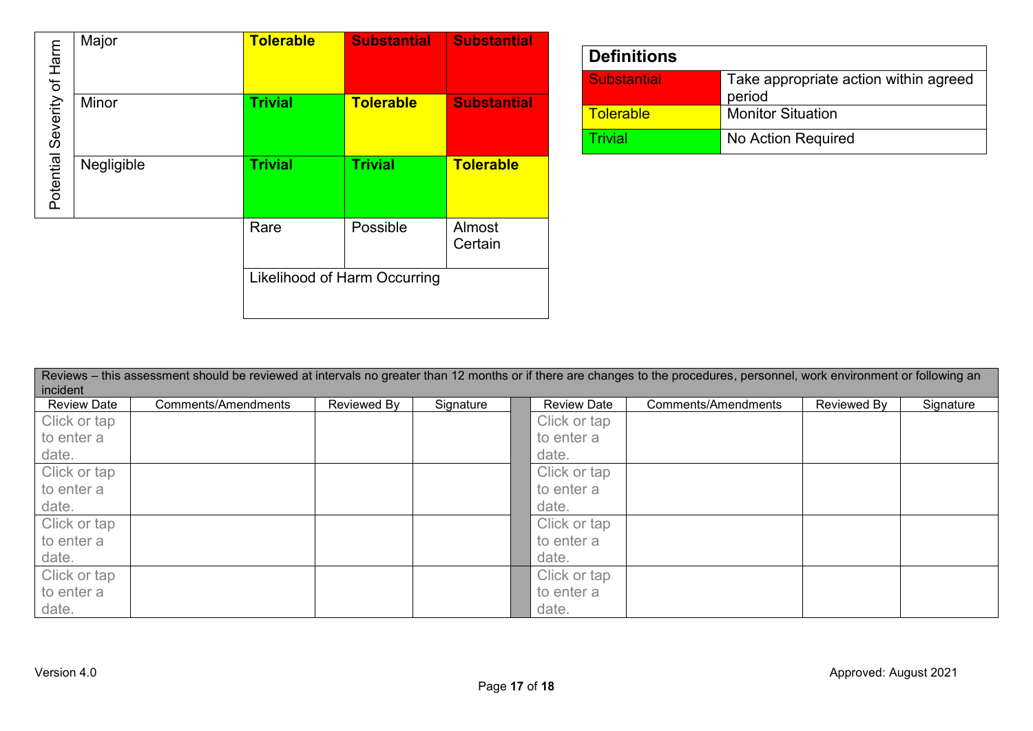| of Harm   | Major      | <b>Tolerable</b>                    | <b>Substantial</b> | <b>Substantial</b> |  |  |
|-----------|------------|-------------------------------------|--------------------|--------------------|--|--|
| Severity  | Minor      | <b>Trivial</b>                      | <b>Tolerable</b>   | <b>Substantial</b> |  |  |
| Potential | Negligible | <b>Trivial</b>                      | <b>Trivial</b>     | <b>Tolerable</b>   |  |  |
|           |            | Rare                                | Possible           | Almost<br>Certain  |  |  |
|           |            | <b>Likelihood of Harm Occurring</b> |                    |                    |  |  |

| <b>Definitions</b> |                                                 |
|--------------------|-------------------------------------------------|
| <b>Substantial</b> | Take appropriate action within agreed<br>period |
| Tolerable          | <b>Monitor Situation</b>                        |
| Frivial            | No Action Required                              |

| Reviews – this assessment should be reviewed at intervals no greater than 12 months or if there are changes to the procedures, personnel, work environment or following an<br>incident |                     |             |           |  |                    |                     |             |           |  |  |  |
|----------------------------------------------------------------------------------------------------------------------------------------------------------------------------------------|---------------------|-------------|-----------|--|--------------------|---------------------|-------------|-----------|--|--|--|
| <b>Review Date</b>                                                                                                                                                                     | Comments/Amendments | Reviewed By | Signature |  | <b>Review Date</b> | Comments/Amendments | Reviewed By | Signature |  |  |  |
| Click or tap                                                                                                                                                                           |                     |             |           |  | Click or tap       |                     |             |           |  |  |  |
| to enter a                                                                                                                                                                             |                     |             |           |  | to enter a         |                     |             |           |  |  |  |
| date.                                                                                                                                                                                  |                     |             |           |  | date.              |                     |             |           |  |  |  |
| Click or tap                                                                                                                                                                           |                     |             |           |  | Click or tap       |                     |             |           |  |  |  |
| to enter a                                                                                                                                                                             |                     |             |           |  | to enter a         |                     |             |           |  |  |  |
| date.                                                                                                                                                                                  |                     |             |           |  | date.              |                     |             |           |  |  |  |
| Click or tap                                                                                                                                                                           |                     |             |           |  | Click or tap       |                     |             |           |  |  |  |
| to enter a                                                                                                                                                                             |                     |             |           |  | to enter a         |                     |             |           |  |  |  |
| date.                                                                                                                                                                                  |                     |             |           |  | date.              |                     |             |           |  |  |  |
| Click or tap                                                                                                                                                                           |                     |             |           |  | Click or tap       |                     |             |           |  |  |  |
| to enter a                                                                                                                                                                             |                     |             |           |  | to enter a         |                     |             |           |  |  |  |
| date.                                                                                                                                                                                  |                     |             |           |  | date.              |                     |             |           |  |  |  |